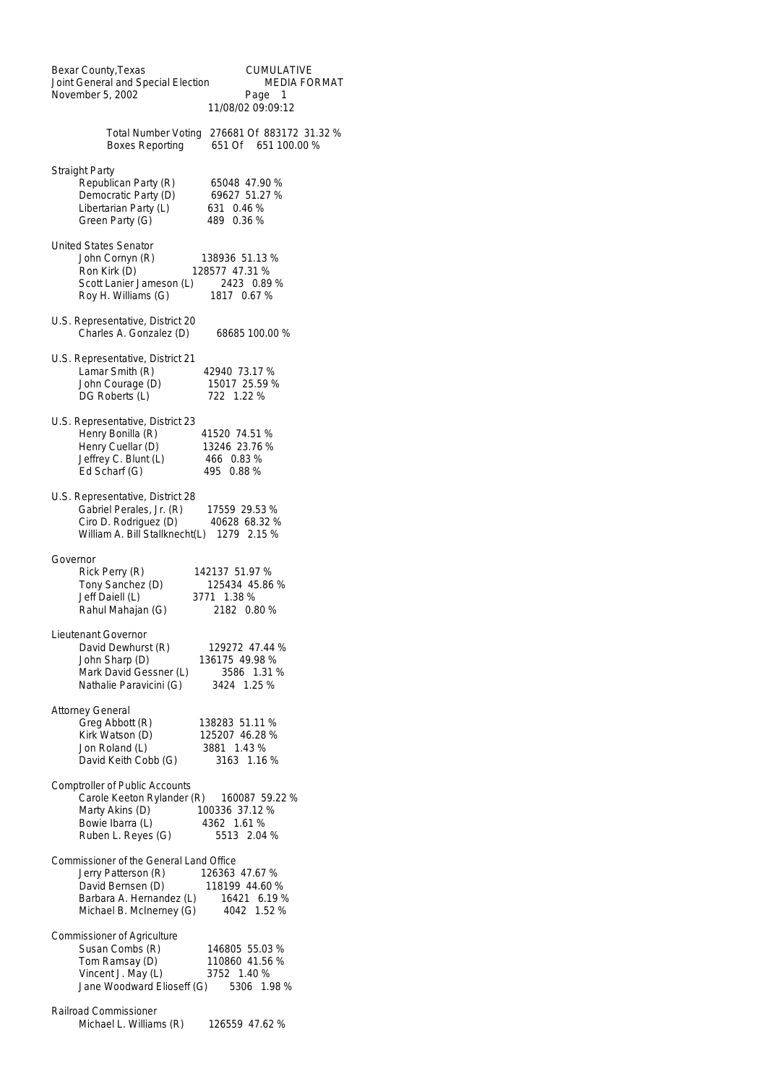| Bexar County, Texas<br><b>CUMULATIVE</b><br>Joint General and Special Election<br>MEDIA FORMAT<br>November 5, 2002<br>Page 1<br>11/08/02 09:09:12                                                              |
|----------------------------------------------------------------------------------------------------------------------------------------------------------------------------------------------------------------|
| <b>Total Number Voting</b><br>276681 Of 883172 31.32 %<br><b>Boxes Reporting</b><br>651 Of 651 100.00 %                                                                                                        |
| <b>Straight Party</b><br>Republican Party (R)<br>65048 47.90 %<br>Democratic Party (D)<br>69627 51.27 %<br>Libertarian Party (L)<br>631 0.46 %<br>Green Party (G)<br>489 0.36 %                                |
| <b>United States Senator</b><br>John Cornyn (R)<br>138936 51.13 %<br>Ron Kirk (D)<br>128577 47.31 %<br>Scott Lanier Jameson (L) 2423 0.89 %<br>Roy H. Williams (G)<br>1817 0.67 %                              |
| U.S. Representative, District 20<br>Charles A. Gonzalez (D)<br>68685 100.00 %                                                                                                                                  |
| U.S. Representative, District 21<br>Lamar Smith (R)<br>42940 73.17 %<br>John Courage (D)<br>15017 25.59 %<br>DG Roberts (L)<br>722 1.22 %                                                                      |
| U.S. Representative, District 23<br>Henry Bonilla (R)<br>41520 74.51 %<br>Henry Cuellar (D)<br>13246 23.76 %<br>Jeffrey C. Blunt (L)<br>466 0.83 %<br>Ed Scharf (G)<br>495 0.88 %                              |
| U.S. Representative, District 28<br>Gabriel Perales, Jr. (R)<br>17559 29.53 %<br>Ciro D. Rodriguez (D)<br>40628 68.32 %<br>William A. Bill Stallknecht(L) 1279 2.15 %                                          |
| Governor<br>Rick Perry (R)<br>142137 51.97 %<br>Tony Sanchez (D)<br>125434 45.86 %<br>Jeff Daiell (L)<br>3771 1.38 %<br>Rahul Mahajan (G)<br>2182 0.80 %                                                       |
| Lieutenant Governor<br>David Dewhurst (R)<br>129272 47.44 %<br>John Sharp (D)<br>136175 49.98 %<br>Mark David Gessner (L)<br>3586 1.31 %<br>Nathalie Paravicini (G)<br>3424 1.25 %                             |
| <b>Attorney General</b><br>Greg Abbott (R)<br>138283 51.11 %<br>Kirk Watson (D)<br>125207 46.28 %<br>Jon Roland (L)<br>3881 1.43 %<br>David Keith Cobb (G)<br>3163 1.16 %                                      |
| <b>Comptroller of Public Accounts</b><br>Carole Keeton Rylander (R)<br>160087 59.22 %<br>Marty Akins (D)<br>100336 37.12 %<br>Bowie Ibarra (L)<br>4362 1.61 %<br>Ruben L. Reyes (G)<br>5513 2.04 %             |
| Commissioner of the General Land Office<br>Jerry Patterson (R)<br>126363 47.67 %<br>118199 44.60 %<br>David Bernsen (D)<br>Barbara A. Hernandez (L)<br>16421 6.19 %<br>Michael B. McInerney (G)<br>4042 1.52 % |
| Commissioner of Agriculture<br>Susan Combs (R)<br>146805 55.03 %<br>Tom Ramsay (D)<br>110860 41.56 %<br>Vincent J. May (L)<br>3752 1.40 %<br>Jane Woodward Elioseff (G)<br>5306 1.98 %                         |
| Railroad Commissioner<br>Michael L. Williams (R)<br>126559 47.62 %                                                                                                                                             |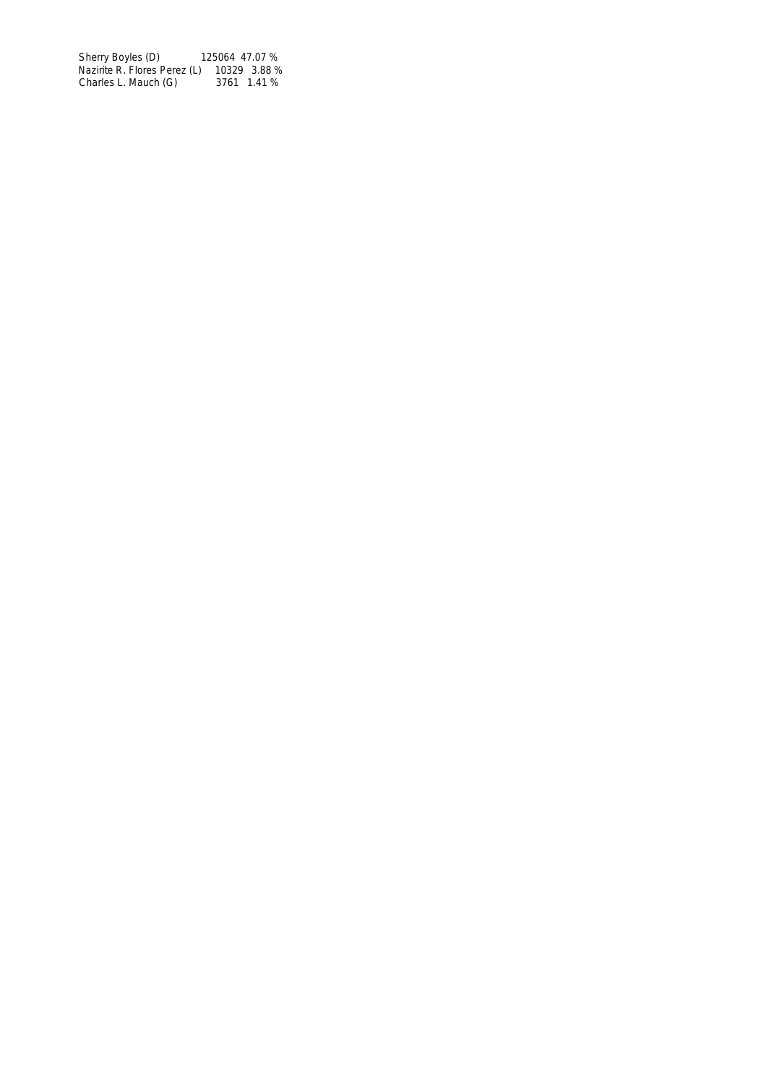Sherry Boyles (D) 125064 47.07 % Nazirite R. Flores Perez (L) 10329 3.88 % Charles L. Mauch (G) 3761 1.41 %